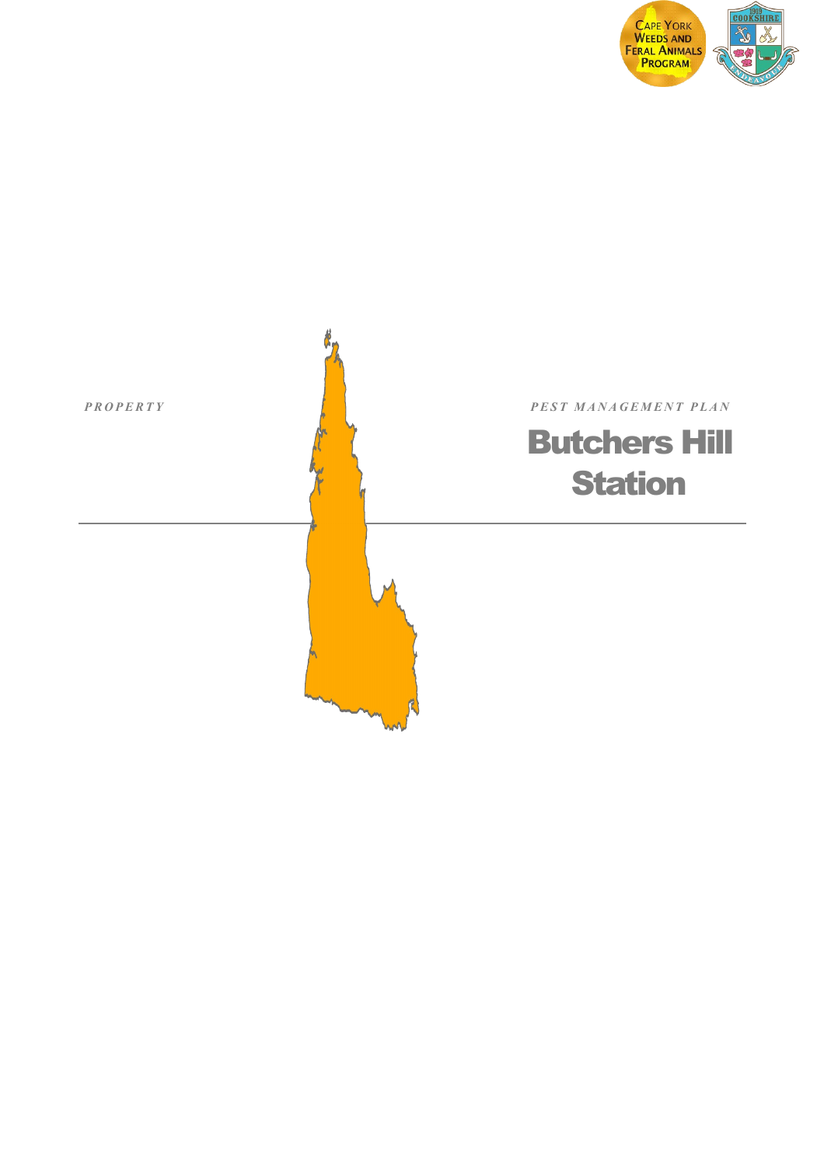

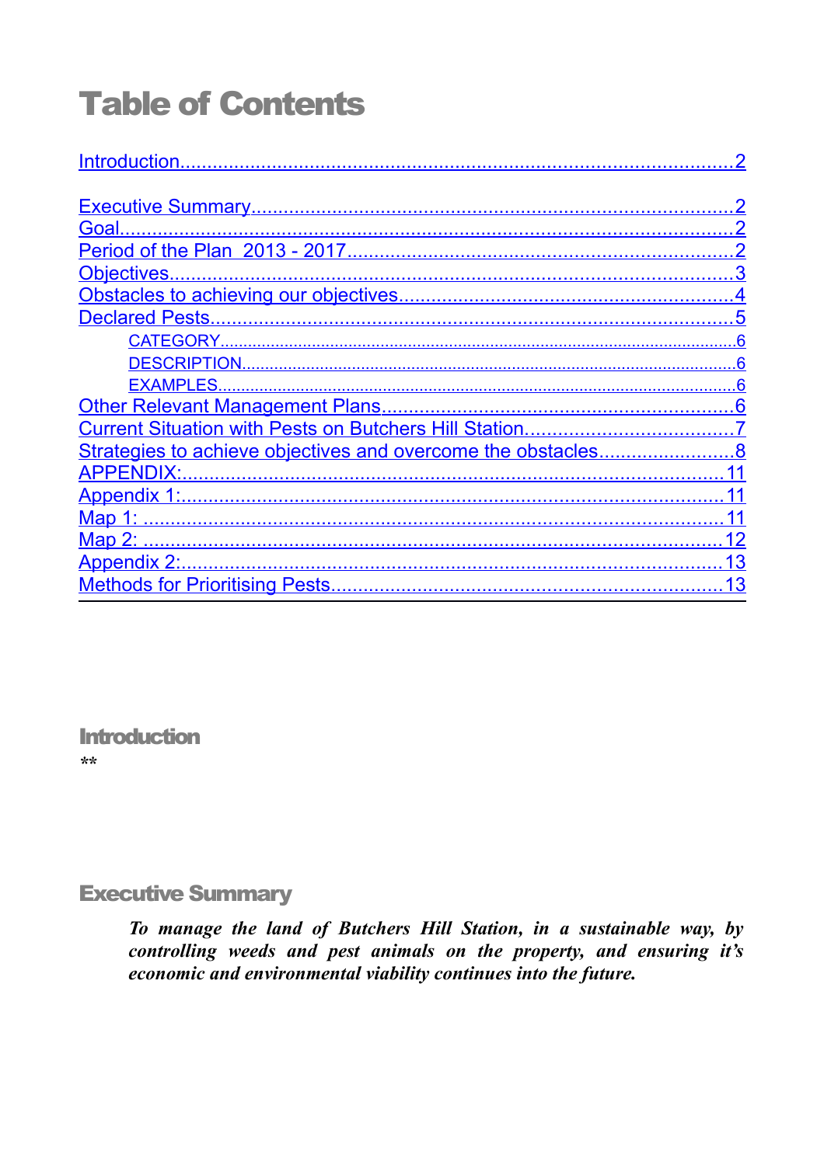# **Table of Contents**

| Introduction.    |
|------------------|
|                  |
|                  |
|                  |
|                  |
|                  |
|                  |
|                  |
|                  |
| DESCRIPTION      |
| <b>EXAMPLES.</b> |
|                  |
|                  |
|                  |
|                  |
|                  |
|                  |
|                  |
|                  |
| 13               |

<span id="page-1-1"></span>**Introduction**  $\star\star$ 

# <span id="page-1-0"></span>**Executive Summary**

To manage the land of Butchers Hill Station, in a sustainable way, by controlling weeds and pest animals on the property, and ensuring it's economic and environmental viability continues into the future.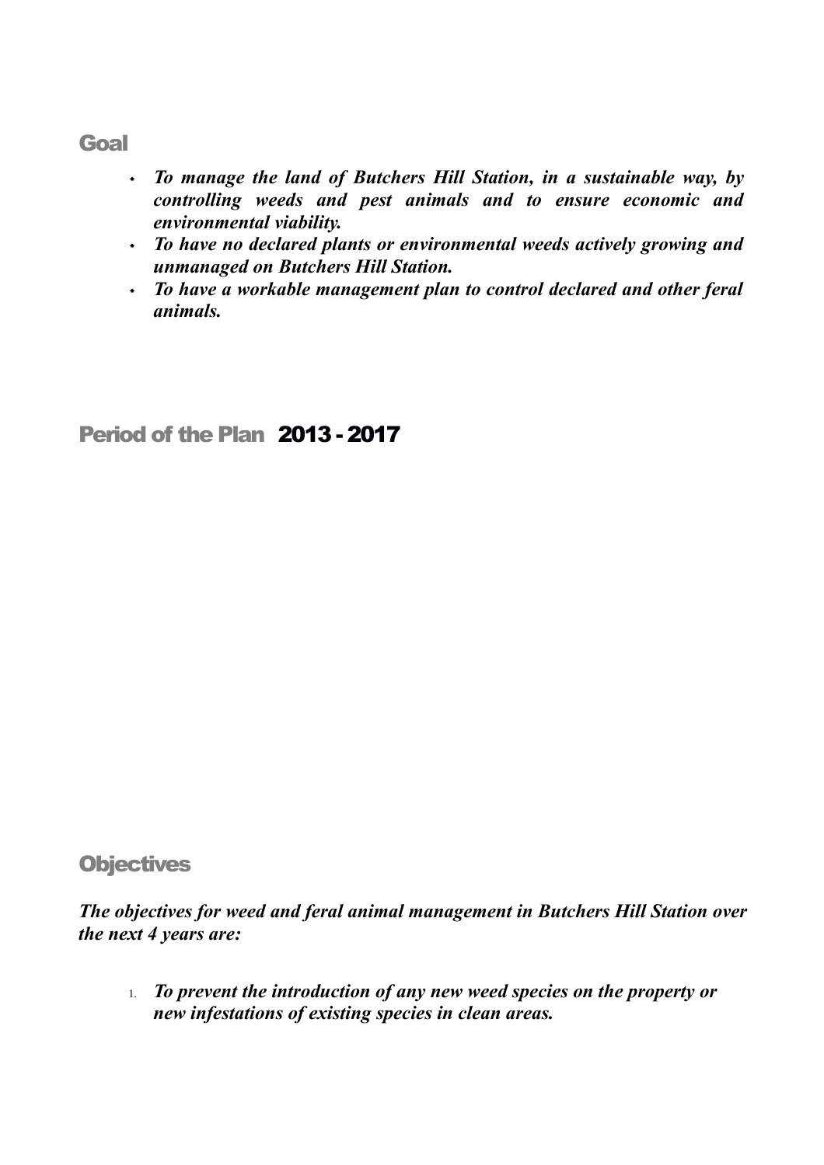#### <span id="page-2-2"></span>Goal

- *To manage the land of Butchers Hill Station, in a sustainable way, by controlling weeds and pest animals and to ensure economic and environmental viability.*
- *To have no declared plants or environmental weeds actively growing and unmanaged on Butchers Hill Station.*
- *To have a workable management plan to control declared and other feral animals.*

# <span id="page-2-1"></span>Period of the Plan 2013 - 2017

## <span id="page-2-0"></span>**Objectives**

*The objectives for weed and feral animal management in Butchers Hill Station over the next 4 years are:*

1. *To prevent the introduction of any new weed species on the property or new infestations of existing species in clean areas.*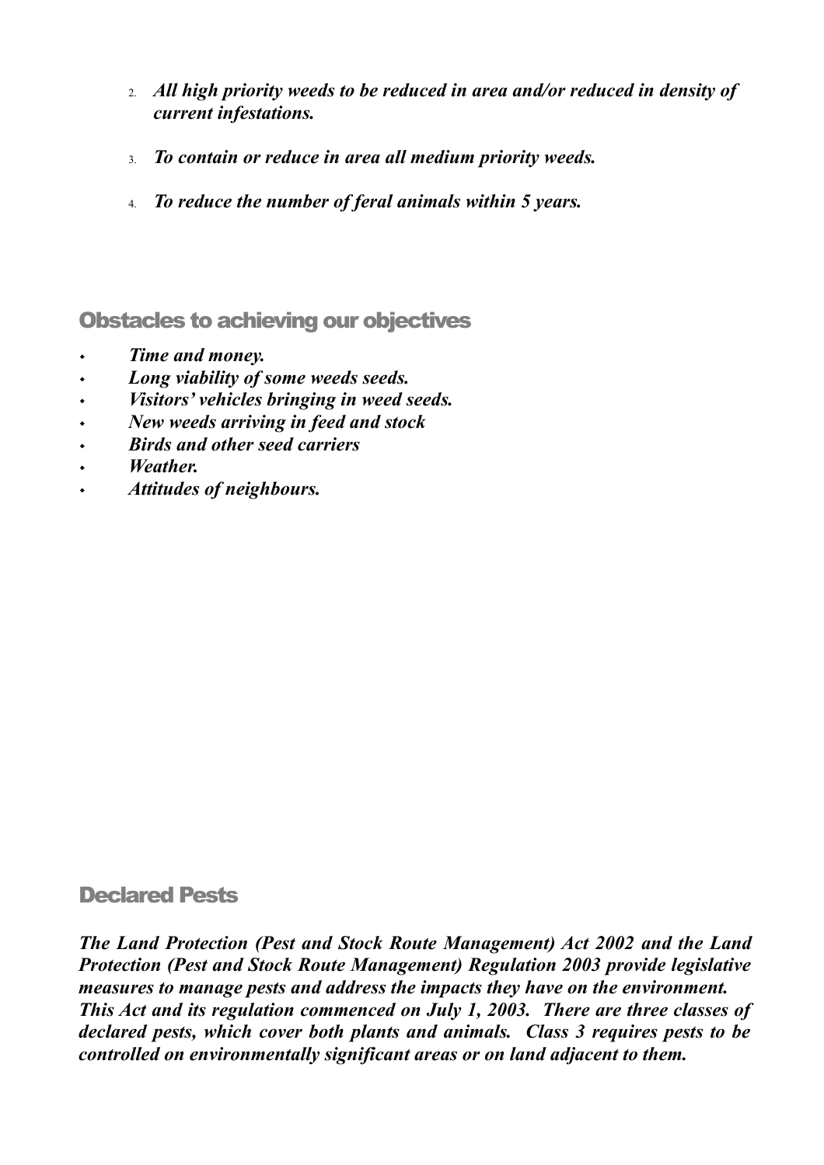- 2. *All high priority weeds to be reduced in area and/or reduced in density of current infestations.*
- 3. *To contain or reduce in area all medium priority weeds.*
- 4. *To reduce the number of feral animals within 5 years.*

<span id="page-3-1"></span>Obstacles to achieving our objectives

- *Time and money.*
- *Long viability of some weeds seeds.*
- *Visitors' vehicles bringing in weed seeds.*
- *New weeds arriving in feed and stock*
- *Birds and other seed carriers*
- *Weather.*
- *Attitudes of neighbours.*

#### <span id="page-3-0"></span>Declared Pests

*The Land Protection (Pest and Stock Route Management) Act 2002 and the Land Protection (Pest and Stock Route Management) Regulation 2003 provide legislative measures to manage pests and address the impacts they have on the environment. This Act and its regulation commenced on July 1, 2003. There are three classes of declared pests, which cover both plants and animals. Class 3 requires pests to be controlled on environmentally significant areas or on land adjacent to them.*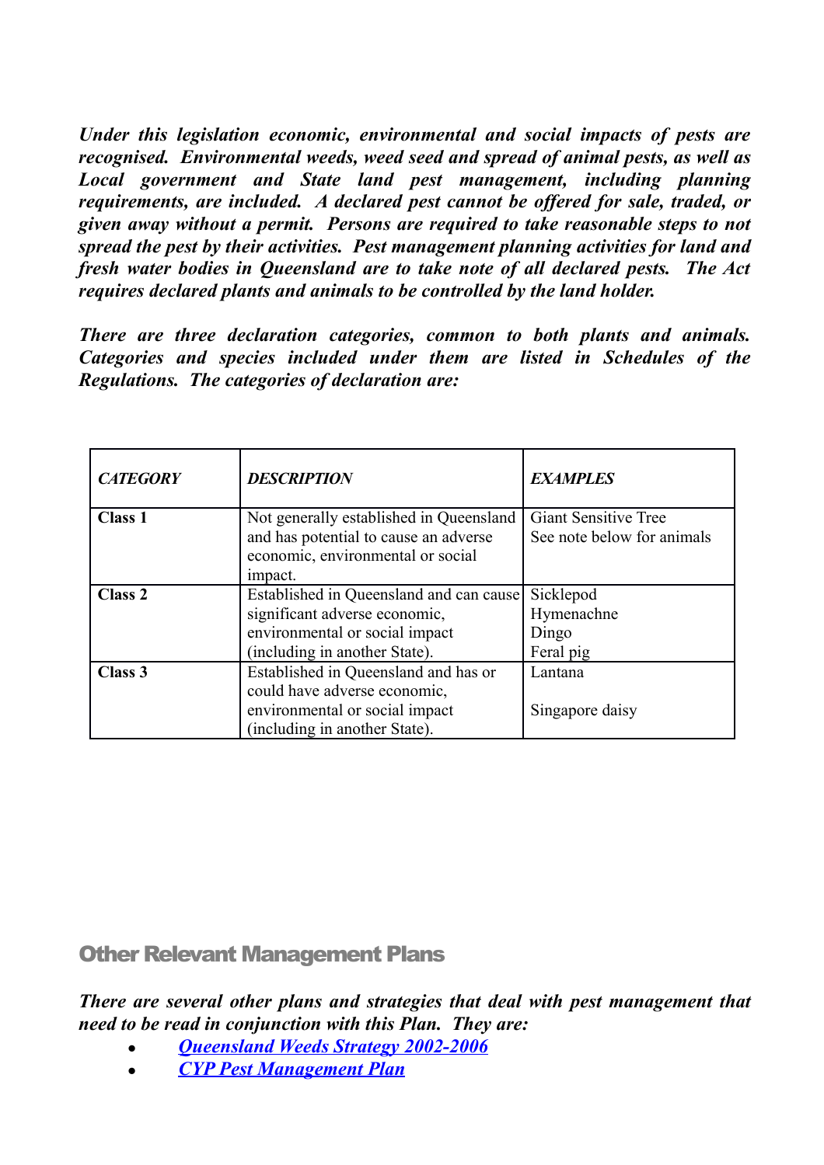*Under this legislation economic, environmental and social impacts of pests are recognised. Environmental weeds, weed seed and spread of animal pests, as well as Local government and State land pest management, including planning requirements, are included. A declared pest cannot be offered for sale, traded, or given away without a permit. Persons are required to take reasonable steps to not spread the pest by their activities. Pest management planning activities for land and fresh water bodies in Queensland are to take note of all declared pests. The Act requires declared plants and animals to be controlled by the land holder.* 

*There are three declaration categories, common to both plants and animals. Categories and species included under them are listed in Schedules of the Regulations. The categories of declaration are:*

<span id="page-4-3"></span><span id="page-4-2"></span><span id="page-4-1"></span>

| <b>CATEGORY</b>    | <b>DESCRIPTION</b>                      | <b>EXAMPLES</b>             |
|--------------------|-----------------------------------------|-----------------------------|
| <b>Class 1</b>     | Not generally established in Queensland | <b>Giant Sensitive Tree</b> |
|                    | and has potential to cause an adverse   | See note below for animals  |
|                    | economic, environmental or social       |                             |
|                    | impact.                                 |                             |
| Class <sub>2</sub> | Established in Queensland and can cause | Sicklepod                   |
|                    | significant adverse economic,           | Hymenachne                  |
|                    | environmental or social impact          | Dingo                       |
|                    | (including in another State).           | Feral pig                   |
| Class 3            | Established in Queensland and has or    | Lantana                     |
|                    | could have adverse economic,            |                             |
|                    | environmental or social impact          | Singapore daisy             |
|                    | including in another State).            |                             |

<span id="page-4-0"></span>Other Relevant Management Plans

*There are several other plans and strategies that deal with pest management that need to be read in conjunction with this Plan. They are:*

- *[Queensland Weeds Strategy 2002-2006](http://www.daff.qld.gov.au/documents/Biosecurity_EnvironmentalPests/IPA-QLD-Weed-Strategy.pdf)*
- *[CYP Pest Management Plan](http://www.cywafap.org.au/pdfdocs/Final%20Draft%20CYP%20PM%20Strategy%20v2.1.pdf)*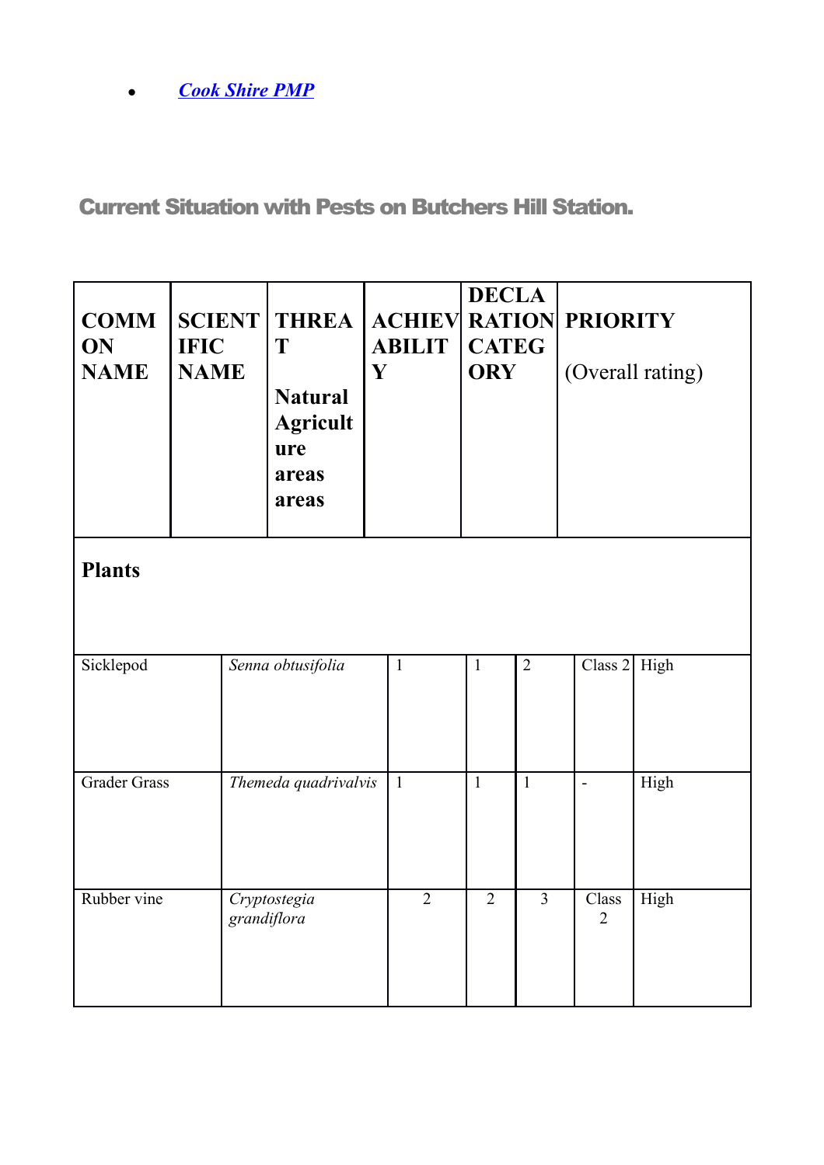*[Cook Shire PMP](http://www.cywafap.org.au/pdfdocs/CSC_PMP_2012-2016.pdf)*

<span id="page-5-0"></span>Current Situation with Pests on Butchers Hill Station.

| <b>COMM</b><br>ON<br><b>NAME</b> | <b>IFIC</b><br><b>NAME</b> | <b>SCIENT THREA</b><br>T<br><b>Natural</b><br><b>Agricult</b><br>ure<br>areas<br>areas | $\mathbf Y$ | <b>ACHIEV RATION PRIORITY</b><br><b>ABILIT</b> | <b>DECLA</b><br><b>CATEG</b><br><b>ORY</b> |                | (Overall rating)        |                |  |
|----------------------------------|----------------------------|----------------------------------------------------------------------------------------|-------------|------------------------------------------------|--------------------------------------------|----------------|-------------------------|----------------|--|
| <b>Plants</b>                    |                            |                                                                                        |             |                                                |                                            |                |                         |                |  |
| Sicklepod                        |                            | Senna obtusifolia                                                                      |             | $\mathbf{1}$                                   | $\mathbf{1}$                               | $\overline{2}$ |                         | Class $2$ High |  |
| <b>Grader Grass</b>              |                            | Themeda quadrivalvis                                                                   |             | $\mathbf{1}$                                   | $\mathbf{1}$                               | $\mathbf{1}$   | $\overline{a}$          | High           |  |
| Rubber vine                      |                            | Cryptostegia<br>grandiflora                                                            |             | $\overline{2}$                                 | $\overline{2}$                             | $\overline{3}$ | Class<br>$\overline{2}$ | High           |  |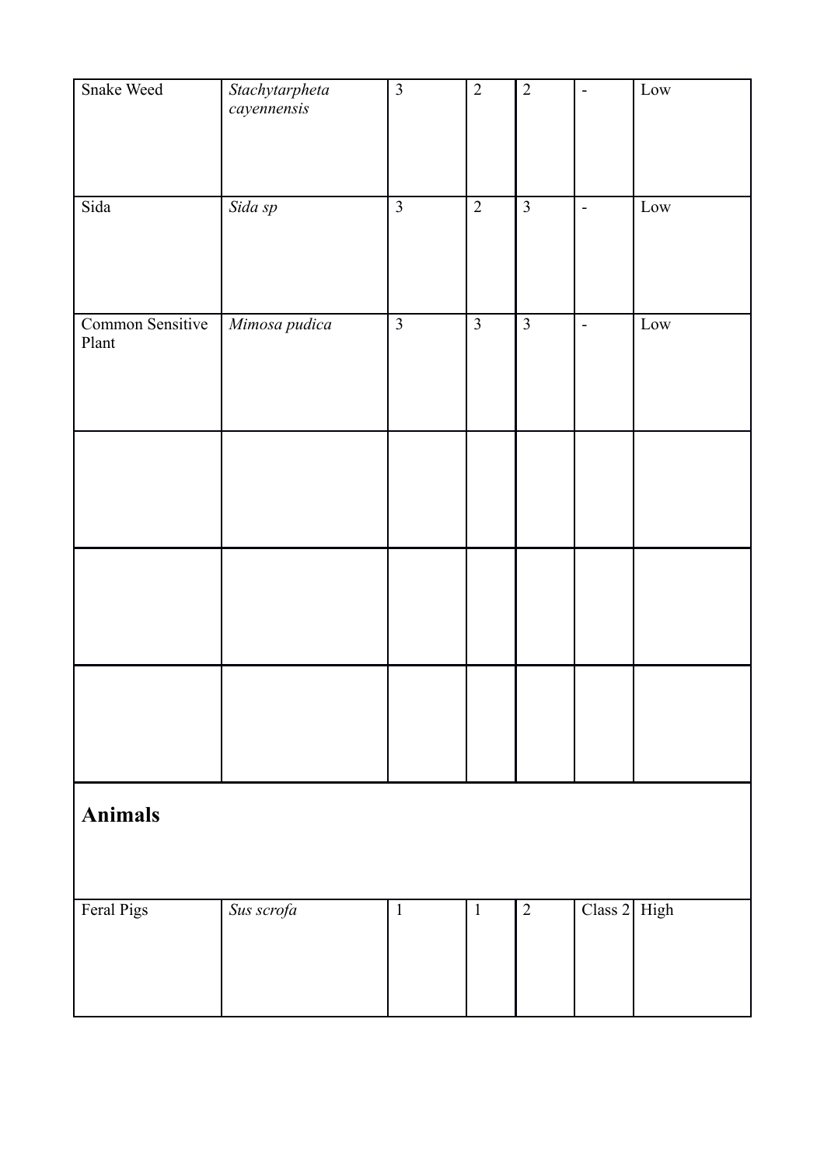| Snake Weed                | Stachytarpheta<br>cayennensis | $\overline{3}$ | $\overline{2}$ | $\sqrt{2}$     | $\qquad \qquad \blacksquare$ | Low  |
|---------------------------|-------------------------------|----------------|----------------|----------------|------------------------------|------|
| Sida                      | Sida sp                       | $\overline{3}$ | $\overline{2}$ | $\overline{3}$ | $\blacksquare$               | Low  |
| Common Sensitive<br>Plant | Mimosa pudica                 | $\overline{3}$ | $\overline{3}$ | $\overline{3}$ | $\frac{1}{2}$                | Low  |
|                           |                               |                |                |                |                              |      |
|                           |                               |                |                |                |                              |      |
|                           |                               |                |                |                |                              |      |
| <b>Animals</b>            |                               |                |                |                |                              |      |
| Feral Pigs                | Sus scrofa                    | $1\,$          | $\,1\,$        | $\overline{2}$ | Class 2                      | High |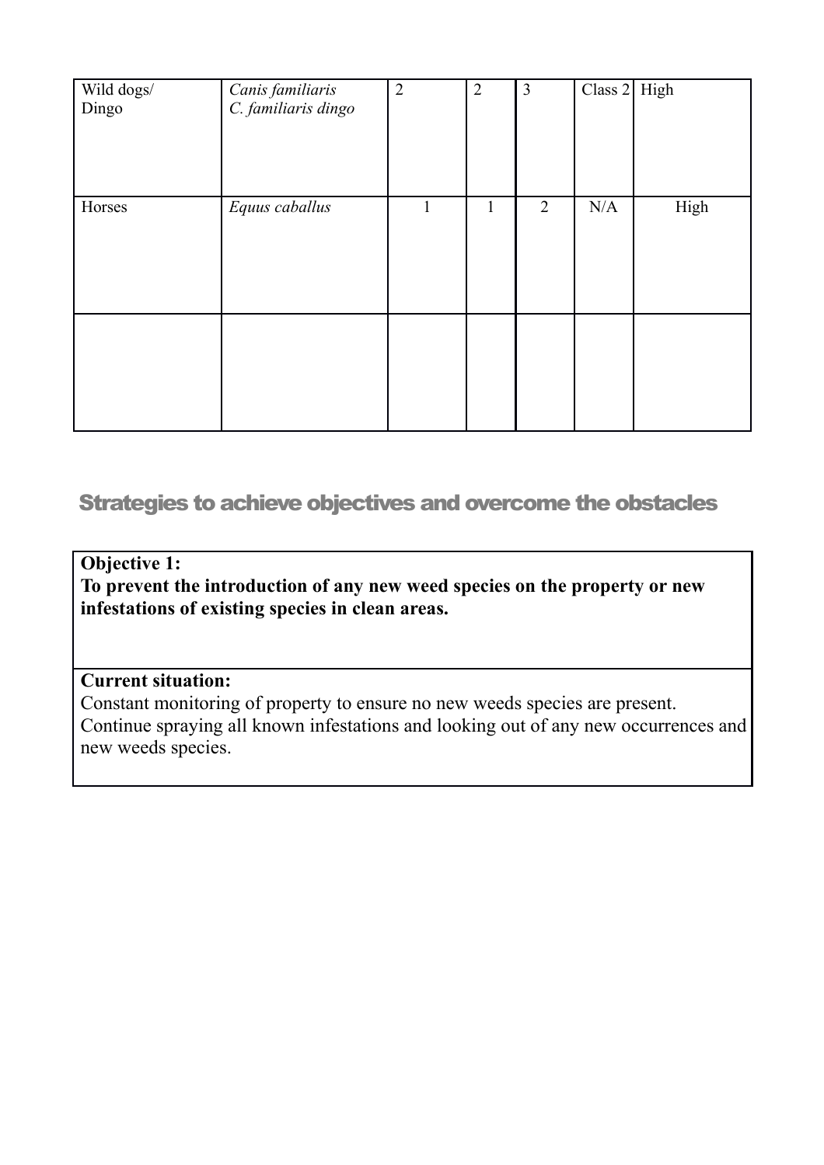| Wild dogs/<br>Dingo | Canis familiaris<br>C. familiaris dingo | $\overline{2}$ | $\overline{2}$ | $\overline{3}$ | Class $2$ High |      |
|---------------------|-----------------------------------------|----------------|----------------|----------------|----------------|------|
| Horses              | Equus caballus                          | л.             | 1              | $\overline{2}$ | N/A            | High |
|                     |                                         |                |                |                |                |      |

# <span id="page-7-0"></span>Strategies to achieve objectives and overcome the obstacles

#### **Objective 1:**

**To prevent the introduction of any new weed species on the property or new infestations of existing species in clean areas.**

#### **Current situation:**

Constant monitoring of property to ensure no new weeds species are present. Continue spraying all known infestations and looking out of any new occurrences and new weeds species.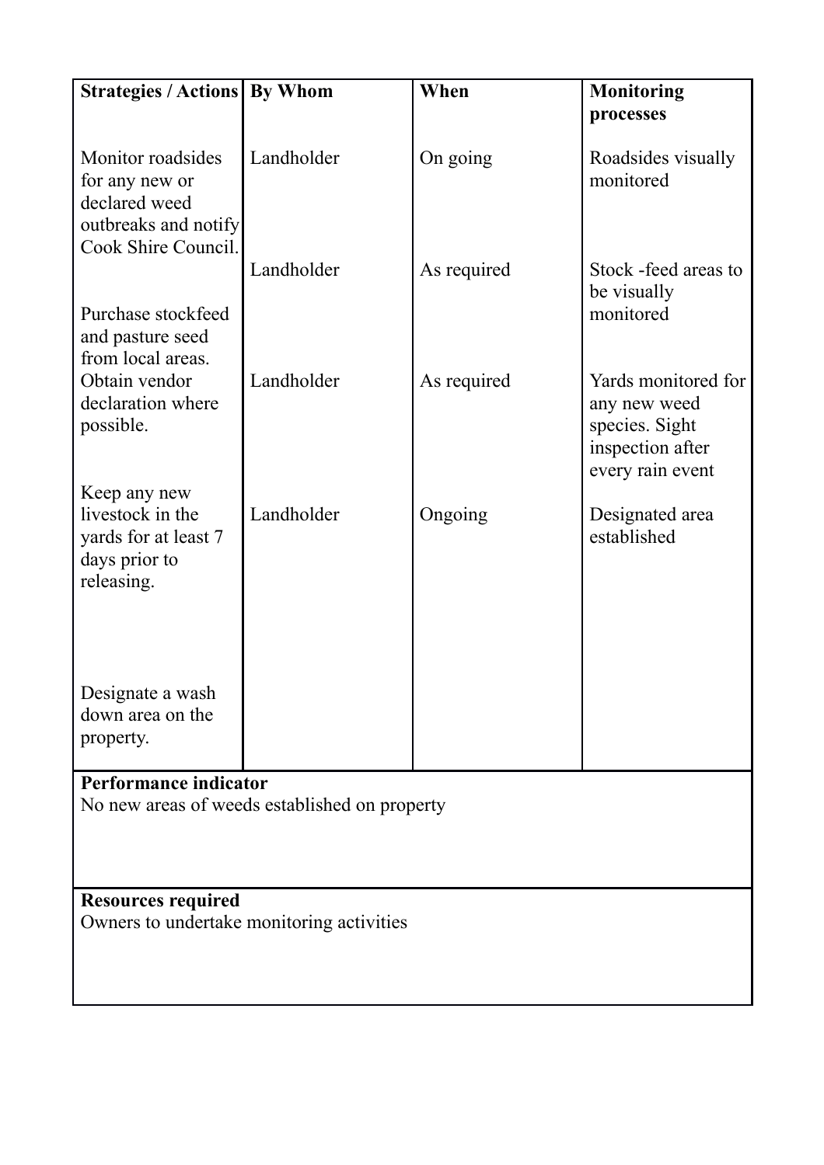| <b>Strategies / Actions By Whom</b>                                                                 |                                               | When        | <b>Monitoring</b>                                                                             |  |  |
|-----------------------------------------------------------------------------------------------------|-----------------------------------------------|-------------|-----------------------------------------------------------------------------------------------|--|--|
|                                                                                                     |                                               |             | processes                                                                                     |  |  |
| Monitor roadsides<br>for any new or<br>declared weed<br>outbreaks and notify<br>Cook Shire Council. | Landholder                                    | On going    | Roadsides visually<br>monitored                                                               |  |  |
|                                                                                                     | Landholder                                    | As required | Stock -feed areas to<br>be visually                                                           |  |  |
| Purchase stockfeed<br>and pasture seed<br>from local areas.                                         |                                               |             | monitored                                                                                     |  |  |
| Obtain vendor<br>declaration where<br>possible.                                                     | Landholder                                    | As required | Yards monitored for<br>any new weed<br>species. Sight<br>inspection after<br>every rain event |  |  |
| Keep any new<br>livestock in the<br>yards for at least 7<br>days prior to<br>releasing.             | Landholder                                    | Ongoing     | Designated area<br>established                                                                |  |  |
| Designate a wash<br>down area on the<br>property.                                                   |                                               |             |                                                                                               |  |  |
| Performance indicator                                                                               | No new areas of weeds established on property |             |                                                                                               |  |  |
|                                                                                                     |                                               |             |                                                                                               |  |  |
| <b>Resources required</b>                                                                           |                                               |             |                                                                                               |  |  |
|                                                                                                     | Owners to undertake monitoring activities     |             |                                                                                               |  |  |
|                                                                                                     |                                               |             |                                                                                               |  |  |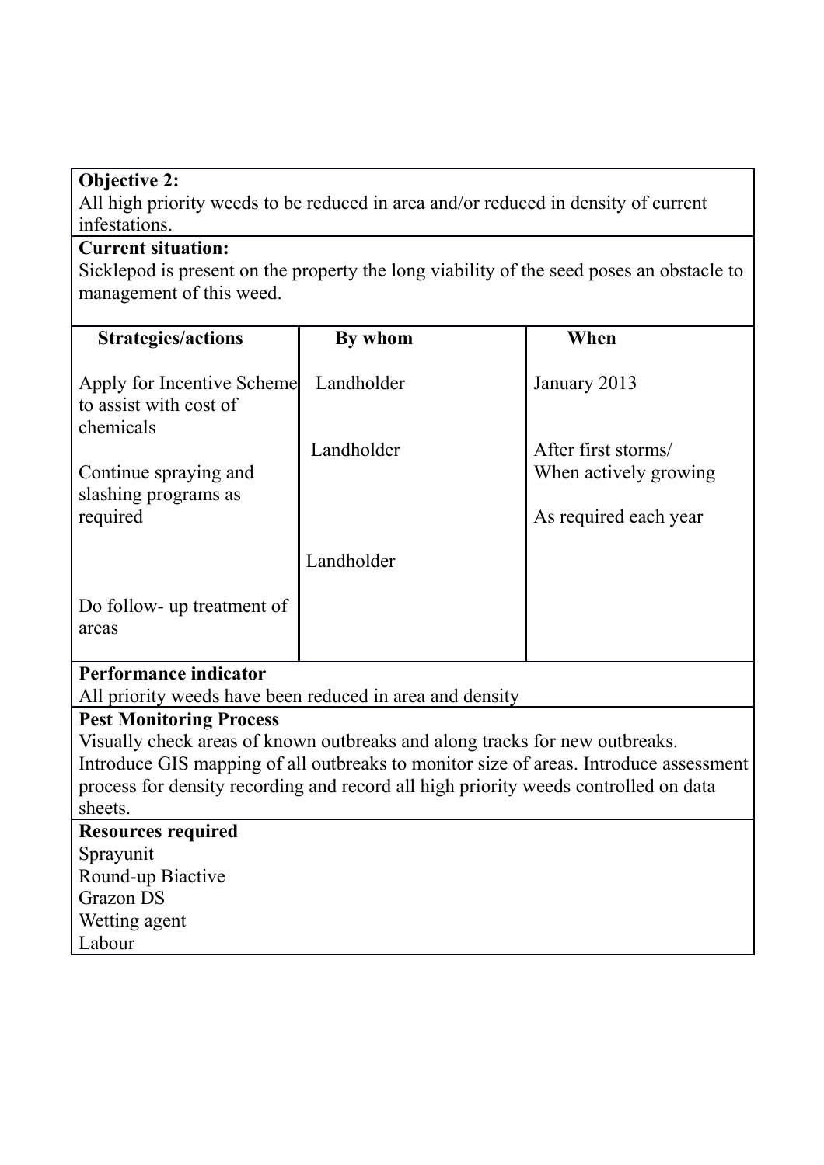# **Objective 2:**

All high priority weeds to be reduced in area and/or reduced in density of current infestations.

#### **Current situation:**

Sicklepod is present on the property the long viability of the seed poses an obstacle to management of this weed.

| <b>Strategies/actions</b>                                         | By whom                                                                               | When                  |
|-------------------------------------------------------------------|---------------------------------------------------------------------------------------|-----------------------|
| Apply for Incentive Scheme<br>to assist with cost of<br>chemicals | Landholder                                                                            | January 2013          |
|                                                                   | Landholder                                                                            | After first storms/   |
| Continue spraying and                                             |                                                                                       | When actively growing |
| slashing programs as<br>required                                  |                                                                                       | As required each year |
|                                                                   | Landholder                                                                            |                       |
| Do follow- up treatment of<br>areas                               |                                                                                       |                       |
| <b>Performance indicator</b>                                      |                                                                                       |                       |
|                                                                   | All priority weeds have been reduced in area and density                              |                       |
| <b>Pest Monitoring Process</b>                                    |                                                                                       |                       |
|                                                                   | Visually check areas of known outbreaks and along tracks for new outbreaks.           |                       |
|                                                                   | Introduce GIS mapping of all outbreaks to monitor size of areas. Introduce assessment |                       |
| sheets.                                                           | process for density recording and record all high priority weeds controlled on data   |                       |
| <b>Resources required</b>                                         |                                                                                       |                       |
| Sprayunit                                                         |                                                                                       |                       |
| Round-up Biactive                                                 |                                                                                       |                       |
| <b>Grazon DS</b>                                                  |                                                                                       |                       |
| Wetting agent                                                     |                                                                                       |                       |
| Labour                                                            |                                                                                       |                       |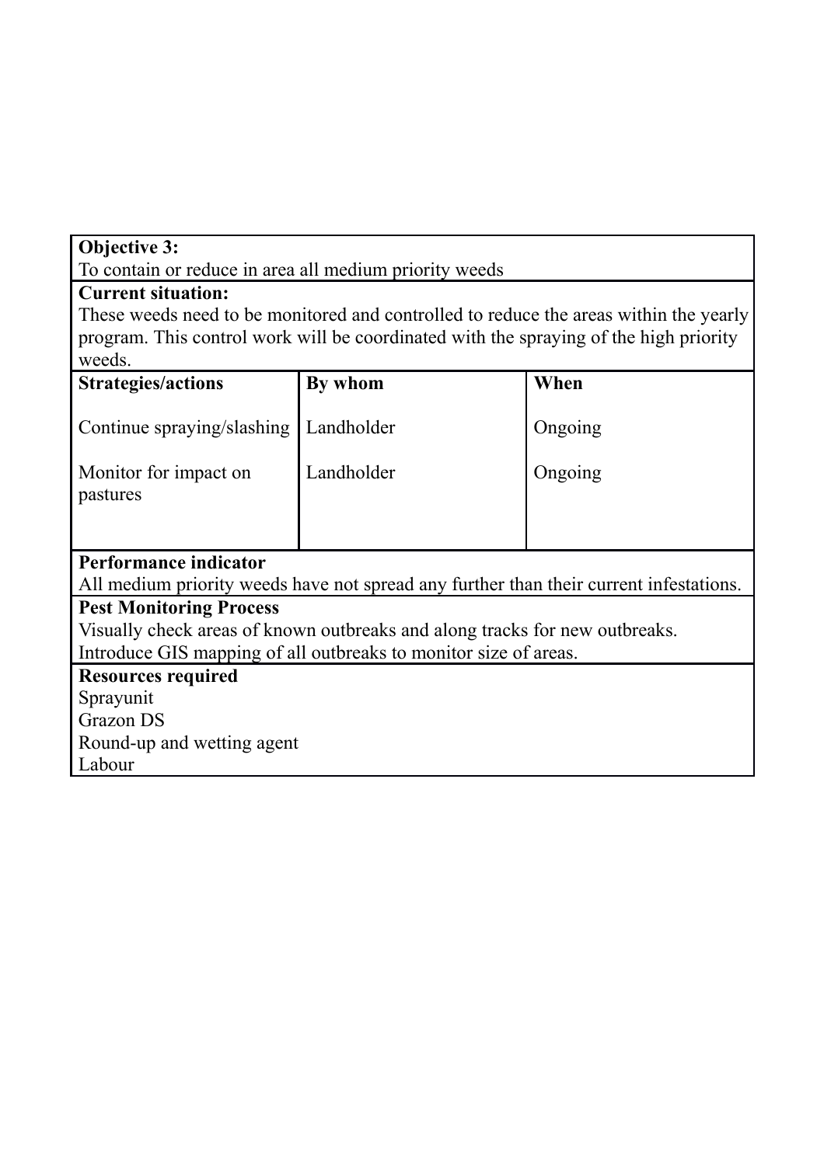# **Objective 3:**

To contain or reduce in area all medium priority weeds

# **Current situation:**

These weeds need to be monitored and controlled to reduce the areas within the yearly program. This control work will be coordinated with the spraying of the high priority weeds.

| <b>Strategies/actions</b>      | By whom                                                                                | When    |  |  |
|--------------------------------|----------------------------------------------------------------------------------------|---------|--|--|
|                                |                                                                                        |         |  |  |
| Continue spraying/slashing     | Landholder                                                                             | Ongoing |  |  |
|                                |                                                                                        |         |  |  |
| Monitor for impact on          | Landholder                                                                             | Ongoing |  |  |
| pastures                       |                                                                                        |         |  |  |
|                                |                                                                                        |         |  |  |
|                                |                                                                                        |         |  |  |
| Performance indicator          |                                                                                        |         |  |  |
|                                | All medium priority weeds have not spread any further than their current infestations. |         |  |  |
| <b>Pest Monitoring Process</b> |                                                                                        |         |  |  |
|                                | Visually check areas of known outbreaks and along tracks for new outbreaks.            |         |  |  |
|                                | Introduce GIS mapping of all outbreaks to monitor size of areas.                       |         |  |  |
| <b>Resources required</b>      |                                                                                        |         |  |  |
| Sprayunit                      |                                                                                        |         |  |  |
| Grazon DS                      |                                                                                        |         |  |  |
| Round-up and wetting agent     |                                                                                        |         |  |  |
| Labour                         |                                                                                        |         |  |  |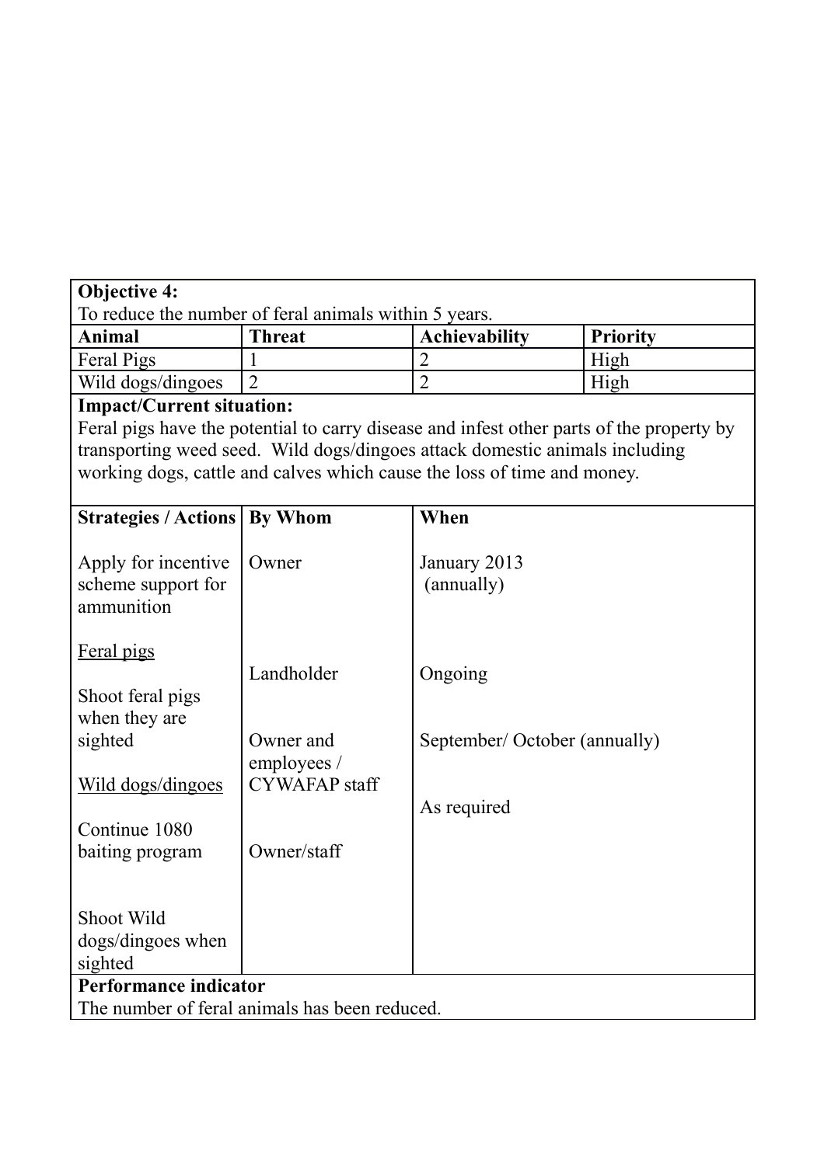| <b>Objective 4:</b>                                   |                                                                                          |                               |                 |
|-------------------------------------------------------|------------------------------------------------------------------------------------------|-------------------------------|-----------------|
| To reduce the number of feral animals within 5 years. |                                                                                          |                               |                 |
| Animal                                                | <b>Threat</b>                                                                            | <b>Achievability</b>          | <b>Priority</b> |
| Feral Pigs                                            |                                                                                          | $\overline{2}$                | High            |
| Wild dogs/dingoes                                     | $\overline{2}$                                                                           | $\overline{2}$                | High            |
| <b>Impact/Current situation:</b>                      |                                                                                          |                               |                 |
|                                                       | Feral pigs have the potential to carry disease and infest other parts of the property by |                               |                 |
|                                                       | transporting weed seed. Wild dogs/dingoes attack domestic animals including              |                               |                 |
|                                                       | working dogs, cattle and calves which cause the loss of time and money.                  |                               |                 |
|                                                       |                                                                                          |                               |                 |
| <b>Strategies / Actions</b>                           | By Whom                                                                                  | When                          |                 |
| Apply for incentive                                   | Owner                                                                                    | January 2013                  |                 |
| scheme support for                                    |                                                                                          | (annually)                    |                 |
| ammunition                                            |                                                                                          |                               |                 |
|                                                       |                                                                                          |                               |                 |
| Feral pigs                                            |                                                                                          |                               |                 |
|                                                       | Landholder                                                                               | Ongoing                       |                 |
| Shoot feral pigs                                      |                                                                                          |                               |                 |
| when they are                                         |                                                                                          |                               |                 |
| sighted                                               | Owner and                                                                                | September/ October (annually) |                 |
|                                                       | employees /                                                                              |                               |                 |
| Wild dogs/dingoes                                     | <b>CYWAFAP</b> staff                                                                     |                               |                 |
|                                                       |                                                                                          | As required                   |                 |
| Continue 1080                                         |                                                                                          |                               |                 |
| baiting program                                       | Owner/staff                                                                              |                               |                 |
|                                                       |                                                                                          |                               |                 |
| Shoot Wild                                            |                                                                                          |                               |                 |
| dogs/dingoes when                                     |                                                                                          |                               |                 |
| sighted                                               |                                                                                          |                               |                 |
| Performance indicator                                 |                                                                                          |                               |                 |
|                                                       | The number of feral animals has been reduced.                                            |                               |                 |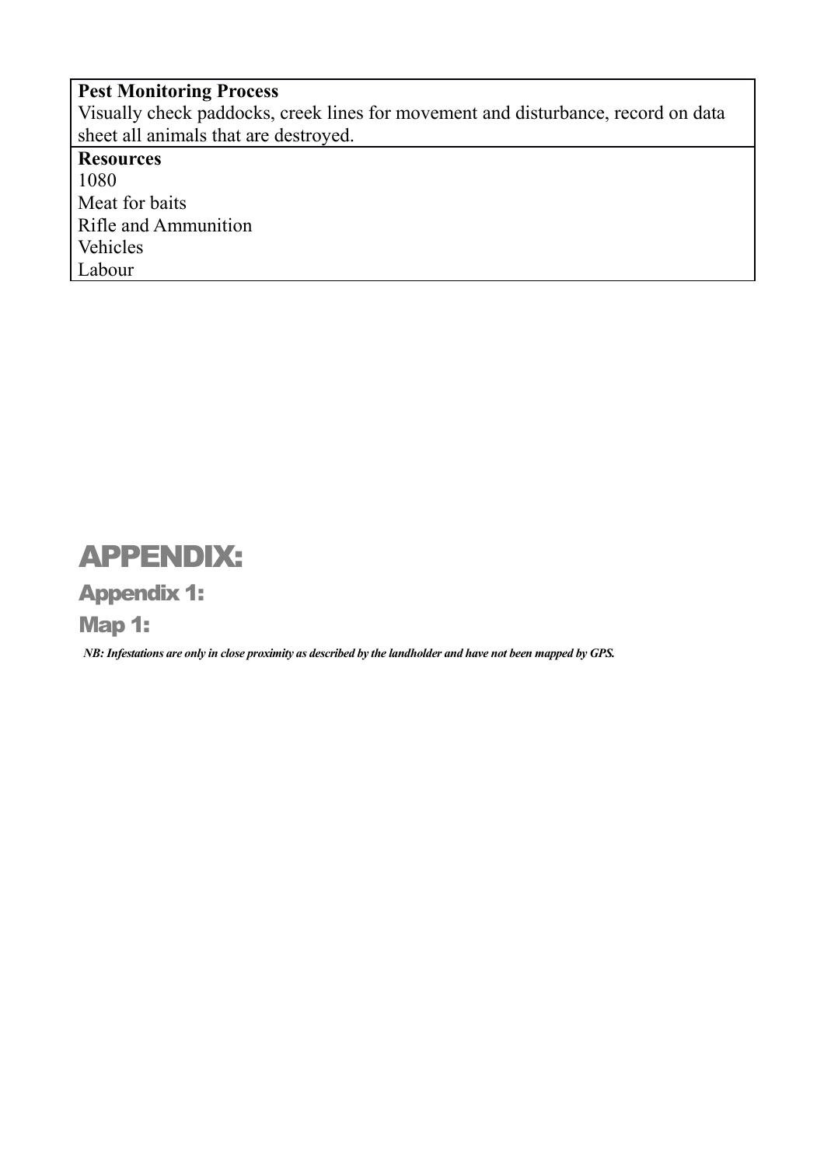**Pest Monitoring Process** Visually check paddocks, creek lines for movement and disturbance, record on data sheet all animals that are destroyed. **Resources** 1080 Meat for baits Rifle and Ammunition Vehicles Labour

# <span id="page-12-2"></span>APPENDIX:

<span id="page-12-1"></span>Appendix 1:

<span id="page-12-0"></span>Map 1:

*NB: Infestations are only in close proximity as described by the landholder and have not been mapped by GPS.*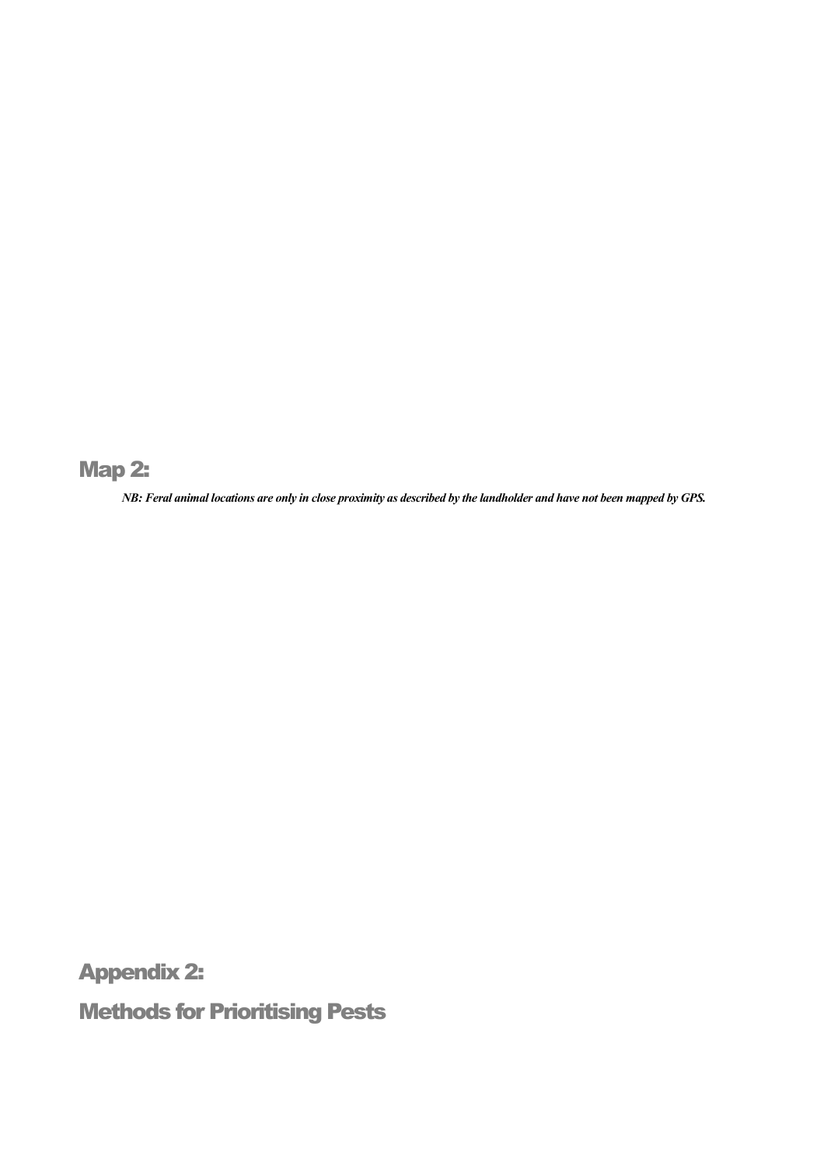<span id="page-13-2"></span>Map 2:

*NB: Feral animal locations are only in close proximity as described by the landholder and have not been mapped by GPS.*

<span id="page-13-1"></span>Appendix 2:

<span id="page-13-0"></span>Methods for Prioritising Pests